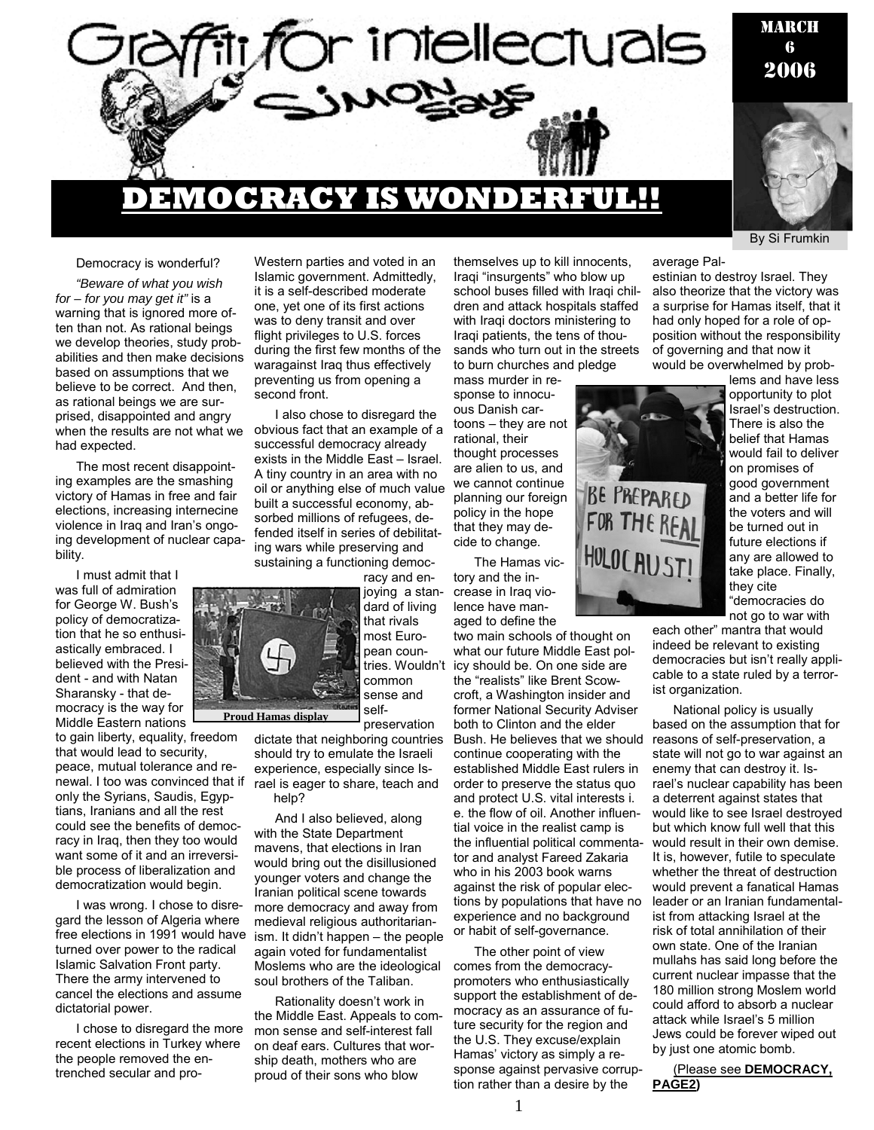

#### Democracy is wonderful?

*"Beware of what you wish for – for you may get it"* is a warning that is ignored more often than not. As rational beings we develop theories, study probabilities and then make decisions based on assumptions that we believe to be correct. And then, as rational beings we are surprised, disappointed and angry when the results are not what we had expected.

The most recent disappointing examples are the smashing victory of Hamas in free and fair elections, increasing internecine violence in Iraq and Iran's ongoing development of nuclear capability.

I must admit that I was full of admiration for George W. Bush's policy of democratization that he so enthusiastically embraced. I believed with the President - and with Natan Sharansky - that democracy is the way for Middle Eastern nations

to gain liberty, equality, freedom that would lead to security, peace, mutual tolerance and renewal. I too was convinced that if only the Syrians, Saudis, Egyptians, Iranians and all the rest could see the benefits of democracy in Iraq, then they too would want some of it and an irreversible process of liberalization and democratization would begin.

I was wrong. I chose to disregard the lesson of Algeria where free elections in 1991 would have turned over power to the radical Islamic Salvation Front party. There the army intervened to cancel the elections and assume dictatorial power.

I chose to disregard the more recent elections in Turkey where the people removed the entrenched secular and proWestern parties and voted in an Islamic government. Admittedly, it is a self-described moderate one, yet one of its first actions was to deny transit and over flight privileges to U.S. forces during the first few months of the waragainst Iraq thus effectively preventing us from opening a second front.

I also chose to disregard the obvious fact that an example of a successful democracy already exists in the Middle East – Israel. A tiny country in an area with no oil or anything else of much value built a successful economy, absorbed millions of refugees, defended itself in series of debilitating wars while preserving and sustaining a functioning democ-

racy and enjoying a standard of living that rivals most European countries. Wouldn't common

sense and self-

preservation dictate that neighboring countries should try to emulate the Israeli experience, especially since Israel is eager to share, teach and heln?

And I also believed, along with the State Department mavens, that elections in Iran would bring out the disillusioned younger voters and change the Iranian political scene towards more democracy and away from medieval religious authoritarianism. It didn't happen – the people again voted for fundamentalist Moslems who are the ideological soul brothers of the Taliban.

Rationality doesn't work in the Middle East. Appeals to common sense and self-interest fall on deaf ears. Cultures that worship death, mothers who are proud of their sons who blow

themselves up to kill innocents, Iraqi "insurgents" who blow up school buses filled with Iraqi children and attack hospitals staffed with Iraqi doctors ministering to Iraqi patients, the tens of thousands who turn out in the streets to burn churches and pledge

mass murder in response to innocuous Danish cartoons – they are not rational, their thought processes are alien to us, and we cannot continue planning our foreign policy in the hope that they may decide to change.

The Hamas victory and the increase in Iraq violence have managed to define the

two main schools of thought on what our future Middle East policy should be. On one side are the "realists" like Brent Scowcroft, a Washington insider and former National Security Adviser both to Clinton and the elder Bush. He believes that we should continue cooperating with the established Middle East rulers in order to preserve the status quo and protect U.S. vital interests i. e. the flow of oil. Another influential voice in the realist camp is the influential political commentator and analyst Fareed Zakaria who in his 2003 book warns against the risk of popular elections by populations that have no experience and no background or habit of self-governance.

The other point of view comes from the democracypromoters who enthusiastically support the establishment of democracy as an assurance of future security for the region and the U.S. They excuse/explain Hamas' victory as simply a response against pervasive corruption rather than a desire by the

average Pal-

estinian to destroy Israel. They also theorize that the victory was a surprise for Hamas itself, that it had only hoped for a role of opposition without the responsibility of governing and that now it would be overwhelmed by prob-

**BE PREPARED** FOR THE REAL HOLOCAUST!

lems and have less opportunity to plot Israel's destruction. There is also the belief that Hamas would fail to deliver on promises of good government and a better life for the voters and will be turned out in future elections if any are allowed to take place. Finally, they cite "democracies do not go to war with

By Si Frumkin

each other" mantra that would indeed be relevant to existing democracies but isn't really applicable to a state ruled by a terrorist organization.

National policy is usually based on the assumption that for reasons of self-preservation, a state will not go to war against an enemy that can destroy it. Israel's nuclear capability has been a deterrent against states that would like to see Israel destroyed but which know full well that this would result in their own demise. It is, however, futile to speculate whether the threat of destruction would prevent a fanatical Hamas leader or an Iranian fundamentalist from attacking Israel at the risk of total annihilation of their own state. One of the Iranian mullahs has said long before the current nuclear impasse that the 180 million strong Moslem world could afford to absorb a nuclear attack while Israel's 5 million Jews could be forever wiped out by just one atomic bomb.

(Please see **DEMOCRACY, PAGE2)** 

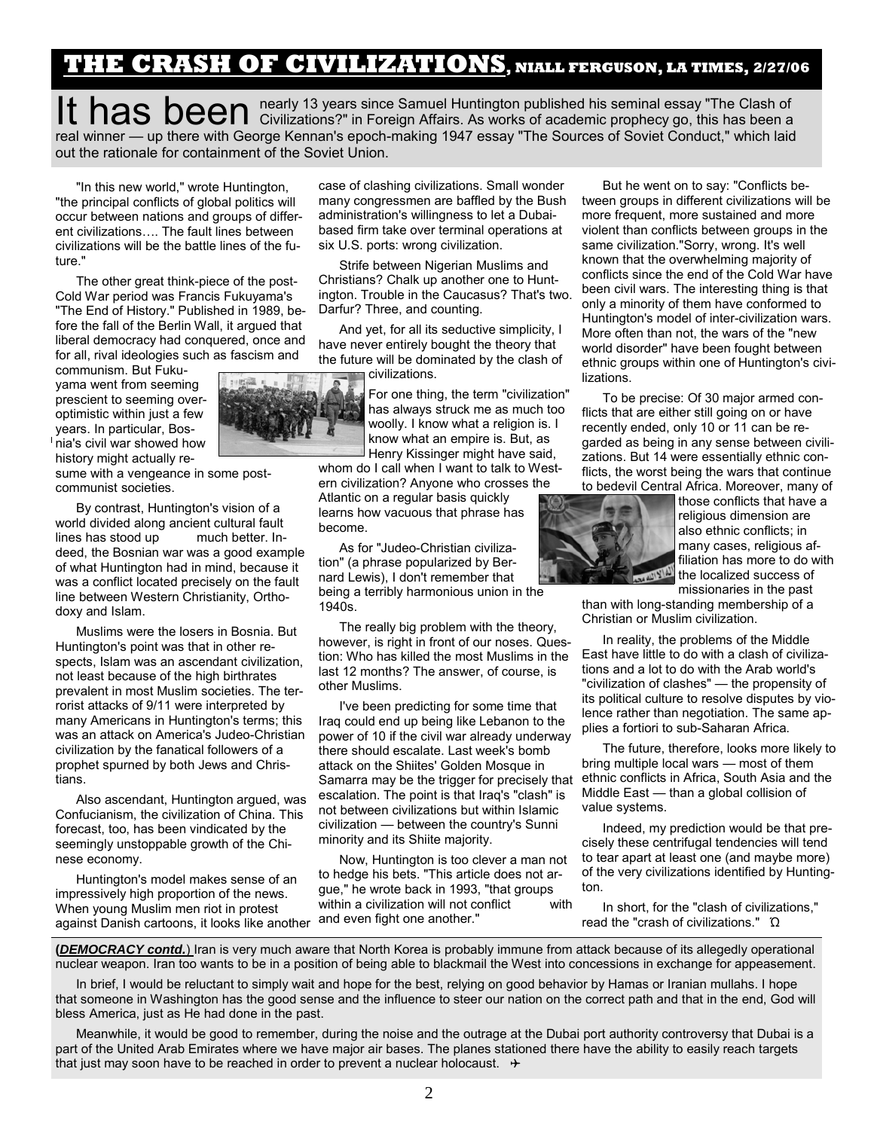### **THE CRASH OF CIVILIZATIONS, NIALL FERGUSON, LA TIMES, 2/27/06**

It has been nearly 13 years since Samuel Huntington published his seminal essay "The Clash of Civilizations?" in Foreign Affairs. As works of academic prophecy go, this has been a real winner — up there with George Kennan's epoch-making 1947 essay "The Sources of Soviet Conduct," which laid out the rationale for containment of the Soviet Union.

"In this new world," wrote Huntington, "the principal conflicts of global politics will occur between nations and groups of different civilizations…. The fault lines between civilizations will be the battle lines of the future."

The other great think-piece of the post-Cold War period was Francis Fukuyama's "The End of History." Published in 1989, before the fall of the Berlin Wall, it argued that liberal democracy had conquered, once and for all, rival ideologies such as fascism and

communism. But Fukuyama went from seeming prescient to seeming overoptimistic within just a few years. In particular, Bos-<sup>I</sup> nia's civil war showed how history might actually re-

sume with a vengeance in some postcommunist societies.

By contrast, Huntington's vision of a world divided along ancient cultural fault lines has stood up much better. Indeed, the Bosnian war was a good example of what Huntington had in mind, because it was a conflict located precisely on the fault line between Western Christianity, Orthodoxy and Islam.

Muslims were the losers in Bosnia. But Huntington's point was that in other respects, Islam was an ascendant civilization, not least because of the high birthrates prevalent in most Muslim societies. The terrorist attacks of 9/11 were interpreted by many Americans in Huntington's terms; this was an attack on America's Judeo-Christian civilization by the fanatical followers of a prophet spurned by both Jews and Christians.

Also ascendant, Huntington argued, was Confucianism, the civilization of China. This forecast, too, has been vindicated by the seemingly unstoppable growth of the Chinese economy.

Huntington's model makes sense of an impressively high proportion of the news. When young Muslim men riot in protest men yeing mechanism from precedictive and even fight one another."

case of clashing civilizations. Small wonder many congressmen are baffled by the Bush administration's willingness to let a Dubaibased firm take over terminal operations at six U.S. ports: wrong civilization.

Strife between Nigerian Muslims and Christians? Chalk up another one to Huntington. Trouble in the Caucasus? That's two. Darfur? Three, and counting.

And yet, for all its seductive simplicity, I have never entirely bought the theory that the future will be dominated by the clash of civilizations.

> For one thing, the term "civilization" has always struck me as much too woolly. I know what a religion is. I know what an empire is. But, as Henry Kissinger might have said,

whom do I call when I want to talk to Western civilization? Anyone who crosses the Atlantic on a regular basis quickly

learns how vacuous that phrase has become.

As for "Judeo-Christian civilization" (a phrase popularized by Bernard Lewis), I don't remember that being a terribly harmonious union in the 1940s.

The really big problem with the theory, however, is right in front of our noses. Question: Who has killed the most Muslims in the last 12 months? The answer, of course, is other Muslims.

I've been predicting for some time that Iraq could end up being like Lebanon to the power of 10 if the civil war already underway there should escalate. Last week's bomb attack on the Shiites' Golden Mosque in Samarra may be the trigger for precisely that escalation. The point is that Iraq's "clash" is not between civilizations but within Islamic civilization — between the country's Sunni minority and its Shiite majority.

Now, Huntington is too clever a man not to hedge his bets. "This article does not argue," he wrote back in 1993, "that groups within a civilization will not conflict with

But he went on to say: "Conflicts between groups in different civilizations will be more frequent, more sustained and more violent than conflicts between groups in the same civilization."Sorry, wrong. It's well known that the overwhelming majority of conflicts since the end of the Cold War have been civil wars. The interesting thing is that only a minority of them have conformed to Huntington's model of inter-civilization wars. More often than not, the wars of the "new world disorder" have been fought between ethnic groups within one of Huntington's civilizations.

To be precise: Of 30 major armed conflicts that are either still going on or have recently ended, only 10 or 11 can be regarded as being in any sense between civilizations. But 14 were essentially ethnic conflicts, the worst being the wars that continue to bedevil Central Africa. Moreover, many of



those conflicts that have a religious dimension are also ethnic conflicts; in many cases, religious affiliation has more to do with the localized success of missionaries in the past

than with long-standing membership of a Christian or Muslim civilization.

In reality, the problems of the Middle East have little to do with a clash of civilizations and a lot to do with the Arab world's "civilization of clashes" — the propensity of its political culture to resolve disputes by violence rather than negotiation. The same applies a fortiori to sub-Saharan Africa.

The future, therefore, looks more likely to bring multiple local wars — most of them ethnic conflicts in Africa, South Asia and the Middle East — than a global collision of value systems.

Indeed, my prediction would be that precisely these centrifugal tendencies will tend to tear apart at least one (and maybe more) of the very civilizations identified by Huntington.

In short, for the "clash of civilizations," read the "crash of civilizations." Ώ

**(***DEMOCRACY contd.*) Iran is very much aware that North Korea is probably immune from attack because of its allegedly operational nuclear weapon. Iran too wants to be in a position of being able to blackmail the West into concessions in exchange for appeasement.

In brief, I would be reluctant to simply wait and hope for the best, relying on good behavior by Hamas or Iranian mullahs. I hope that someone in Washington has the good sense and the influence to steer our nation on the correct path and that in the end, God will bless America, just as He had done in the past.

Meanwhile, it would be good to remember, during the noise and the outrage at the Dubai port authority controversy that Dubai is a part of the United Arab Emirates where we have major air bases. The planes stationed there have the ability to easily reach targets that just may soon have to be reached in order to prevent a nuclear holocaust.  $\rightarrow$ 



2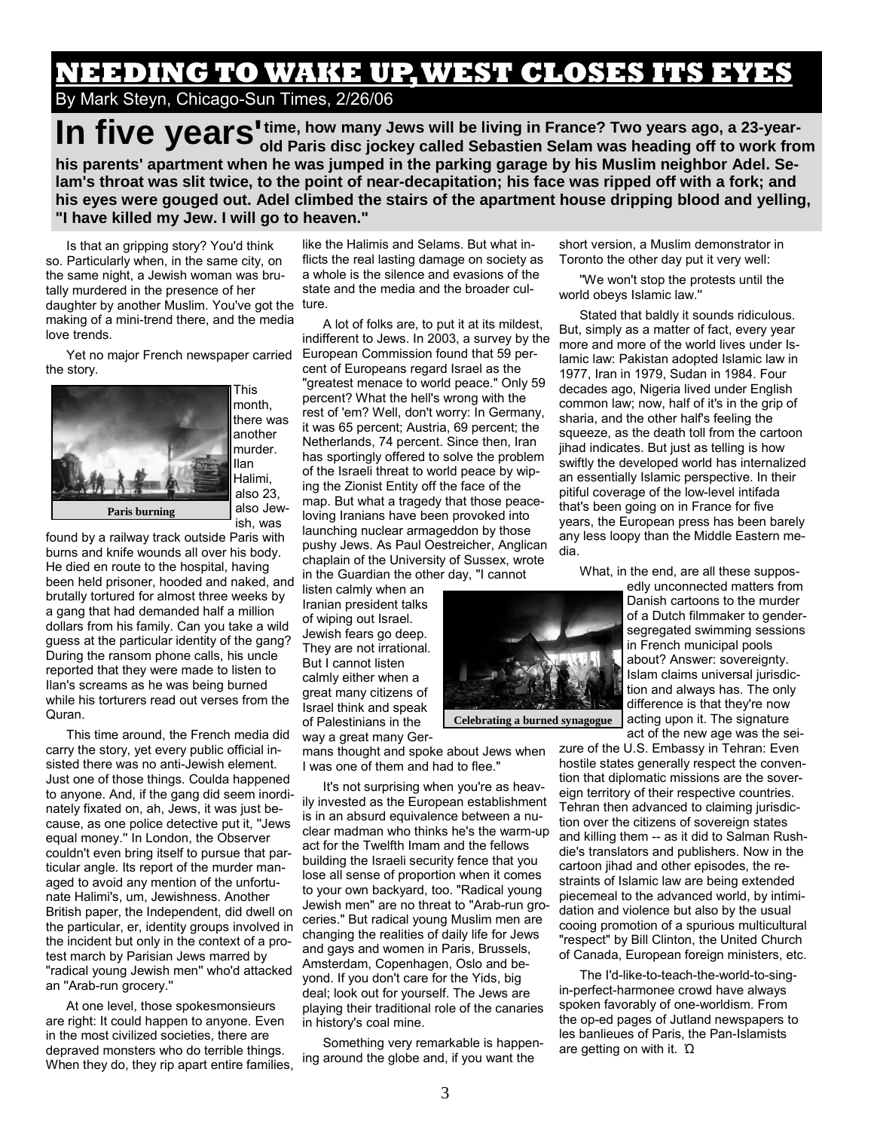# **NEEDING TO WAKE UP, WEST CLOSES ITS EYES**

By Mark Steyn, Chicago-Sun Times, 2/26/06

In five years<sup>I time, how many Jews will be living in France? Two years ago, a 23-year-<br>In five years old Paris disc jockey called Sebastien Selam was heading off to work from</sup> **his parents' apartment when he was jumped in the parking garage by his Muslim neighbor Adel. Selam's throat was slit twice, to the point of near-decapitation; his face was ripped off with a fork; and his eyes were gouged out. Adel climbed the stairs of the apartment house dripping blood and yelling, "I have killed my Jew. I will go to heaven."** 

Is that an gripping story? You'd think so. Particularly when, in the same city, on the same night, a Jewish woman was brutally murdered in the presence of her daughter by another Muslim. You've got the making of a mini-trend there, and the media love trends.

Yet no major French newspaper carried the story.



month, there was another murder. Ilan Halimi, also 23, also Jewish, was

found by a railway track outside Paris with burns and knife wounds all over his body. He died en route to the hospital, having been held prisoner, hooded and naked, and brutally tortured for almost three weeks by a gang that had demanded half a million dollars from his family. Can you take a wild guess at the particular identity of the gang? During the ransom phone calls, his uncle reported that they were made to listen to Ilan's screams as he was being burned while his torturers read out verses from the Quran.

This time around, the French media did carry the story, yet every public official insisted there was no anti-Jewish element. Just one of those things. Coulda happened to anyone. And, if the gang did seem inordinately fixated on, ah, Jews, it was just because, as one police detective put it, ''Jews equal money.'' In London, the Observer couldn't even bring itself to pursue that particular angle. Its report of the murder managed to avoid any mention of the unfortunate Halimi's, um, Jewishness. Another British paper, the Independent, did dwell on the particular, er, identity groups involved in the incident but only in the context of a protest march by Parisian Jews marred by ''radical young Jewish men'' who'd attacked an ''Arab-run grocery.''

At one level, those spokesmonsieurs are right: It could happen to anyone. Even in the most civilized societies, there are depraved monsters who do terrible things. When they do, they rip apart entire families,

like the Halimis and Selams. But what inflicts the real lasting damage on society as a whole is the silence and evasions of the state and the media and the broader culture.

A lot of folks are, to put it at its mildest, indifferent to Jews. In 2003, a survey by the European Commission found that 59 percent of Europeans regard Israel as the "greatest menace to world peace." Only 59 percent? What the hell's wrong with the rest of 'em? Well, don't worry: In Germany, it was 65 percent; Austria, 69 percent; the Netherlands, 74 percent. Since then, Iran has sportingly offered to solve the problem of the Israeli threat to world peace by wiping the Zionist Entity off the face of the map. But what a tragedy that those peaceloving Iranians have been provoked into launching nuclear armageddon by those pushy Jews. As Paul Oestreicher, Anglican chaplain of the University of Sussex, wrote in the Guardian the other day, "I cannot

listen calmly when an Iranian president talks of wiping out Israel. Jewish fears go deep. They are not irrational. But I cannot listen calmly either when a great many citizens of Israel think and speak of Palestinians in the way a great many Ger-

mans thought and spoke about Jews when I was one of them and had to flee."

It's not surprising when you're as heavily invested as the European establishment is in an absurd equivalence between a nuclear madman who thinks he's the warm-up act for the Twelfth Imam and the fellows building the Israeli security fence that you lose all sense of proportion when it comes to your own backyard, too. "Radical young Jewish men" are no threat to "Arab-run groceries." But radical young Muslim men are changing the realities of daily life for Jews and gays and women in Paris, Brussels, Amsterdam, Copenhagen, Oslo and beyond. If you don't care for the Yids, big deal; look out for yourself. The Jews are playing their traditional role of the canaries in history's coal mine.

Something very remarkable is happening around the globe and, if you want the

short version, a Muslim demonstrator in Toronto the other day put it very well:

''We won't stop the protests until the world obeys Islamic law.''

Stated that baldly it sounds ridiculous. But, simply as a matter of fact, every year more and more of the world lives under Islamic law: Pakistan adopted Islamic law in 1977, Iran in 1979, Sudan in 1984. Four decades ago, Nigeria lived under English common law; now, half of it's in the grip of sharia, and the other half's feeling the squeeze, as the death toll from the cartoon jihad indicates. But just as telling is how swiftly the developed world has internalized an essentially Islamic perspective. In their pitiful coverage of the low-level intifada that's been going on in France for five years, the European press has been barely any less loopy than the Middle Eastern media.

What, in the end, are all these suppos-

edly unconnected matters from Danish cartoons to the murder of a Dutch filmmaker to gendersegregated swimming sessions in French municipal pools about? Answer: sovereignty. Islam claims universal jurisdiction and always has. The only difference is that they're now acting upon it. The signature act of the new age was the sei-

zure of the U.S. Embassy in Tehran: Even hostile states generally respect the convention that diplomatic missions are the sovereign territory of their respective countries. Tehran then advanced to claiming jurisdiction over the citizens of sovereign states and killing them -- as it did to Salman Rushdie's translators and publishers. Now in the cartoon jihad and other episodes, the restraints of Islamic law are being extended piecemeal to the advanced world, by intimidation and violence but also by the usual cooing promotion of a spurious multicultural "respect" by Bill Clinton, the United Church of Canada, European foreign ministers, etc.

The I'd-like-to-teach-the-world-to-singin-perfect-harmonee crowd have always spoken favorably of one-worldism. From the op-ed pages of Jutland newspapers to les banlieues of Paris, the Pan-Islamists are getting on with it. Ώ



**Celebrating a burned synagogue**